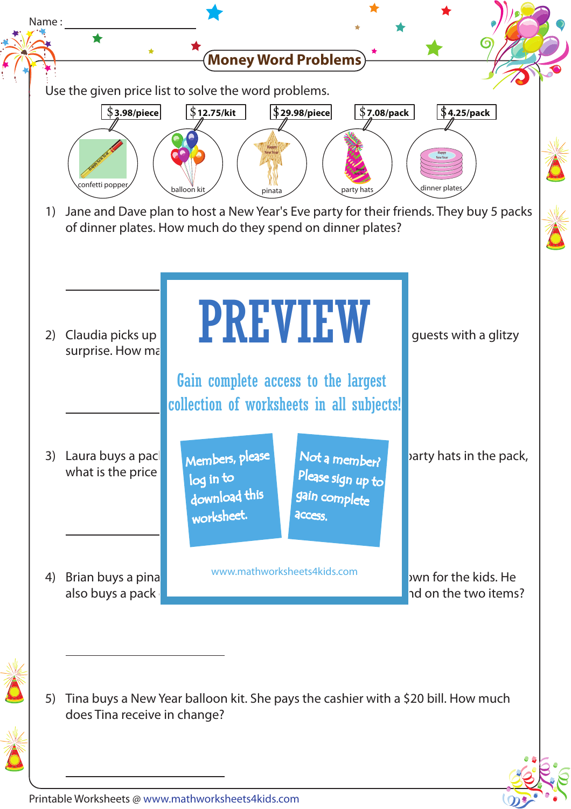